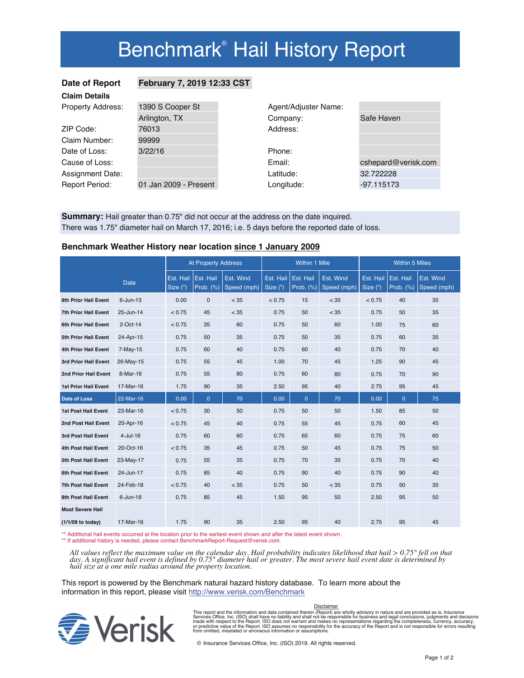# Benchmark<sup>®</sup> Hail History Report

## **Date of Report February 7, 2019 12:33 CST**

| <b>Claim Details</b>     |                       |                      |                     |  |  |  |  |
|--------------------------|-----------------------|----------------------|---------------------|--|--|--|--|
| <b>Property Address:</b> | 1390 S Cooper St      | Agent/Adjuster Name: |                     |  |  |  |  |
|                          | Arlington, TX         | Company:             | Safe Haven          |  |  |  |  |
| ZIP Code:                | 76013                 | Address:             |                     |  |  |  |  |
| Claim Number:            | 99999                 |                      |                     |  |  |  |  |
| Date of Loss:            | 3/22/16               | Phone:               |                     |  |  |  |  |
| Cause of Loss:           |                       | Email:               | cshepard@verisk.com |  |  |  |  |
| Assignment Date:         |                       | Latitude:            | 32.722228           |  |  |  |  |
| <b>Report Period:</b>    | 01 Jan 2009 - Present | Longitude:           | $-97.115173$        |  |  |  |  |

**Summary:** Hail greater than 0.75" did not occur at the address on the date inquired. There was 1.75" diameter hail on March 17, 2016; i.e. 5 days before the reported date of loss.

### **Benchmark Weather History near location since 1 January 2009**

|                             |                | <b>At Property Address</b> |                          | Within 1 Mile            |                       |                        | <b>Within 5 Miles</b>    |                       |                        |                          |
|-----------------------------|----------------|----------------------------|--------------------------|--------------------------|-----------------------|------------------------|--------------------------|-----------------------|------------------------|--------------------------|
|                             | <b>Date</b>    | Est. Hail<br>Size (")      | Est. Hail<br>Prob. $(%)$ | Est. Wind<br>Speed (mph) | Est. Hail<br>Size (") | Est. Hail<br>Prob. (%) | Est. Wind<br>Speed (mph) | Est. Hail<br>Size (") | Est. Hail<br>Prob. (%) | Est. Wind<br>Speed (mph) |
| <b>8th Prior Hail Event</b> | $6 - Jun - 13$ | 0.00                       | $\mathbf 0$              | < 35                     | < 0.75                | 15                     | < 35                     | < 0.75                | 40                     | 35                       |
| 7th Prior Hail Event        | 25-Jun-14      | < 0.75                     | 45                       | < 35                     | 0.75                  | 50                     | < 35                     | 0.75                  | 50                     | 35                       |
| 6th Prior Hail Event        | 2-Oct-14       | < 0.75                     | 35                       | 60                       | 0.75                  | 50                     | 60                       | 1.00                  | 75                     | 60                       |
| 5th Prior Hail Event        | 24-Apr-15      | 0.75                       | 50                       | 35                       | 0.75                  | 50                     | 35                       | 0.75                  | 60                     | 35                       |
| 4th Prior Hail Event        | $7-May-15$     | 0.75                       | 60                       | 40                       | 0.75                  | 60                     | 40                       | 0.75                  | 70                     | 40                       |
| 3rd Prior Hail Event        | 26-May-15      | 0.75                       | 55                       | 45                       | 1.00                  | 70                     | 45                       | 1.25                  | 90                     | 45                       |
| 2nd Prior Hail Event        | 8-Mar-16       | 0.75                       | 55                       | 80                       | 0.75                  | 60                     | 80                       | 0.75                  | 70                     | 90                       |
| <b>1st Prior Hail Event</b> | 17-Mar-16      | 1.75                       | 90                       | 35                       | 2.50                  | 95                     | 40                       | 2.75                  | 95                     | 45                       |
| <b>Date of Loss</b>         | 22-Mar-16      | 0.00                       | $\overline{0}$           | 70                       | 0.00                  | $\mathbf{0}$           | 70                       | 0.00                  | $\overline{0}$         | 75                       |
| <b>1st Post Hail Event</b>  | 23-Mar-16      | < 0.75                     | 30                       | 50                       | 0.75                  | 50                     | 50                       | 1.50                  | 85                     | 50                       |
| 2nd Post Hail Event         | 20-Apr-16      | < 0.75                     | 45                       | 40                       | 0.75                  | 55                     | 45                       | 0.75                  | 60                     | 45                       |
| 3rd Post Hail Event         | $4$ -Jul-16    | 0.75                       | 60                       | 60                       | 0.75                  | 65                     | 60                       | 0.75                  | 75                     | 60                       |
| 4th Post Hail Event         | 20-Oct-16      | < 0.75                     | 35                       | 45                       | 0.75                  | 50                     | 45                       | 0.75                  | 75                     | 50                       |
| 5th Post Hail Event         | 23-May-17      | 0.75                       | 55                       | 35                       | 0.75                  | 70                     | 35                       | 0.75                  | 70                     | 40                       |
| 6th Post Hail Event         | 24-Jun-17      | 0.75                       | 85                       | 40                       | 0.75                  | 90                     | 40                       | 0.75                  | 90                     | 40                       |
| <b>7th Post Hail Event</b>  | 24-Feb-18      | < 0.75                     | 40                       | < 35                     | 0.75                  | 50                     | < 35                     | 0.75                  | 50                     | 35                       |
| 8th Post Hail Event         | $6$ -Jun-18    | 0.75                       | 85                       | 45                       | 1.50                  | 95                     | 50                       | 2.50                  | 95                     | 50                       |
| <b>Most Severe Hail</b>     |                |                            |                          |                          |                       |                        |                          |                       |                        |                          |
| (1/1/09 to today)           | 17-Mar-16      | 1.75                       | 90                       | 35                       | 2.50                  | 95                     | 40                       | 2.75                  | 95                     | 45                       |

\*\* Additional hail events occurred at the location prior to the earliest event shown and after the latest event shown.

\*\* If additional history is needed, please contact BenchmarkReport-Request@verisk.com.

*All values reflect the maximum value on the calendar day. Hail probability indicates likelihood that hail > 0.75" fell on that day. A significant hail event is defined by 0.75" diameter hail or greater. The most severe hail event date is determined by hail size at a one mile radius around the property location.*

This report is powered by the Benchmark natural hazard history database. To learn more about the information in this report, please visit http://www.verisk.com/Benchmark



This report and the information and data contained therein (Report) are wholly advisory in nature and are provided as is. Insurance<br>Services Office, Inc. (ISO) shall have no liability and shall not be responsible for busin Disclaimer